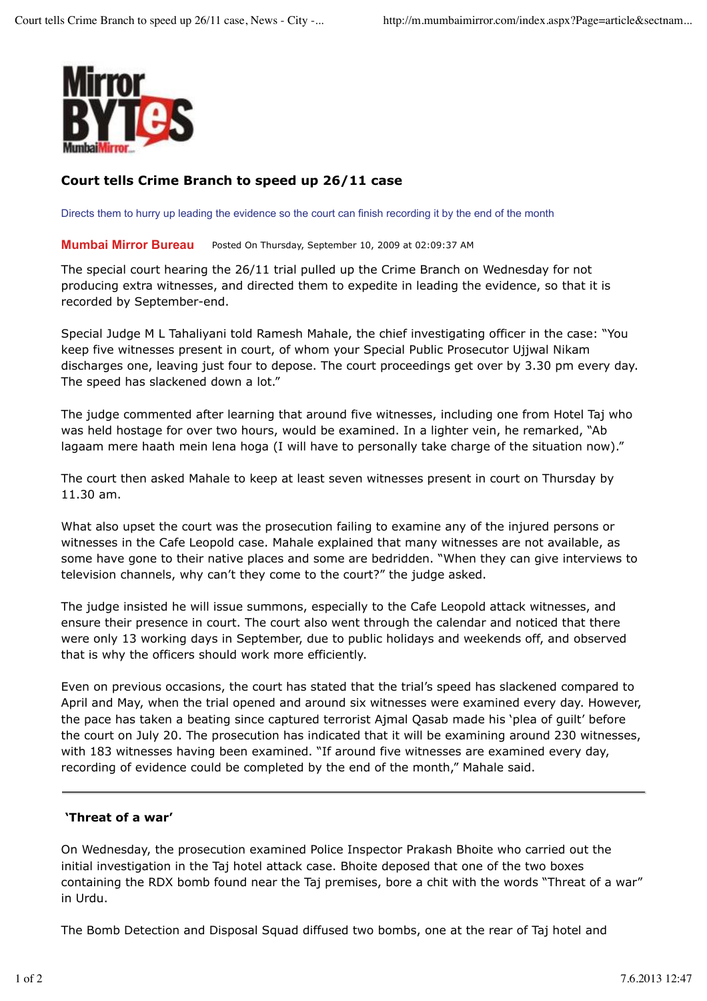

## **Court tells Crime Branch to speed up 26/11 case**

Directs them to hurry up leading the evidence so the court can finish recording it by the end of the month

**Mumbai Mirror Bureau** Posted On Thursday, September 10, 2009 at 02:09:37 AM

The special court hearing the 26/11 trial pulled up the Crime Branch on Wednesday for not producing extra witnesses, and directed them to expedite in leading the evidence, so that it is recorded by September-end.

Special Judge M L Tahaliyani told Ramesh Mahale, the chief investigating officer in the case: "You keep five witnesses present in court, of whom your Special Public Prosecutor Ujjwal Nikam discharges one, leaving just four to depose. The court proceedings get over by 3.30 pm every day. The speed has slackened down a lot."

The judge commented after learning that around five witnesses, including one from Hotel Taj who was held hostage for over two hours, would be examined. In a lighter vein, he remarked, "Ab lagaam mere haath mein lena hoga (I will have to personally take charge of the situation now)."

The court then asked Mahale to keep at least seven witnesses present in court on Thursday by 11.30 am.

What also upset the court was the prosecution failing to examine any of the injured persons or witnesses in the Cafe Leopold case. Mahale explained that many witnesses are not available, as some have gone to their native places and some are bedridden. "When they can give interviews to television channels, why can't they come to the court?" the judge asked.

The judge insisted he will issue summons, especially to the Cafe Leopold attack witnesses, and ensure their presence in court. The court also went through the calendar and noticed that there were only 13 working days in September, due to public holidays and weekends off, and observed that is why the officers should work more efficiently.

Even on previous occasions, the court has stated that the trial's speed has slackened compared to April and May, when the trial opened and around six witnesses were examined every day. However, the pace has taken a beating since captured terrorist Ajmal Qasab made his 'plea of guilt' before the court on July 20. The prosecution has indicated that it will be examining around 230 witnesses, with 183 witnesses having been examined. "If around five witnesses are examined every day, recording of evidence could be completed by the end of the month," Mahale said.

## **'Threat of a war'**

On Wednesday, the prosecution examined Police Inspector Prakash Bhoite who carried out the initial investigation in the Taj hotel attack case. Bhoite deposed that one of the two boxes containing the RDX bomb found near the Taj premises, bore a chit with the words "Threat of a war" in Urdu.

The Bomb Detection and Disposal Squad diffused two bombs, one at the rear of Taj hotel and